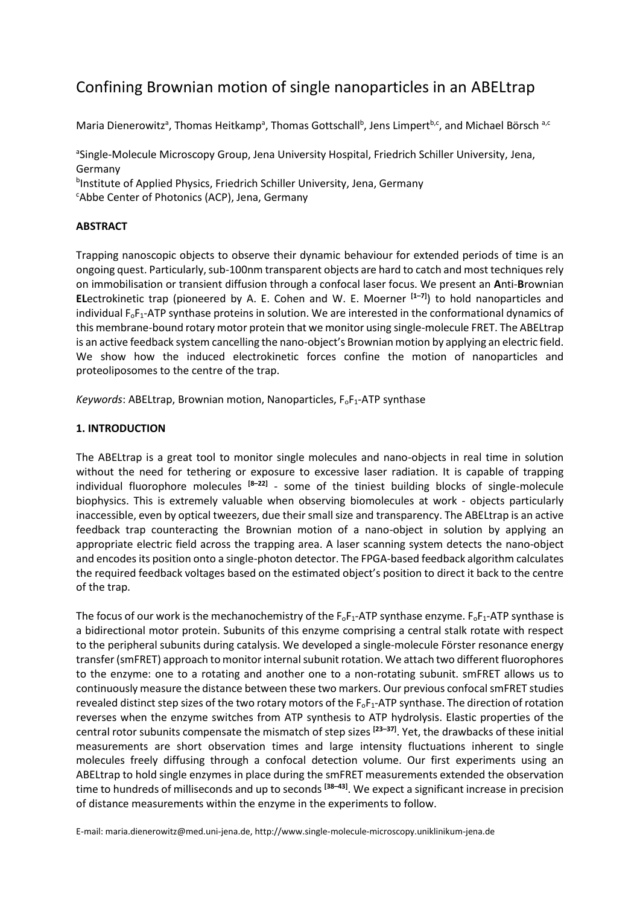# Confining Brownian motion of single nanoparticles in an ABELtrap

Maria Dienerowitz<sup>a</sup>, Thomas Heitkamp<sup>a</sup>, Thomas Gottschall<sup>b</sup>, Jens Limpert<sup>b,c</sup>, and Michael Börsch <sup>a,c</sup>

aSingle-Molecule Microscopy Group, Jena University Hospital, Friedrich Schiller University, Jena, Germany

<sup>b</sup>Institute of Applied Physics, Friedrich Schiller University, Jena, Germany <sup>c</sup>Abbe Center of Photonics (ACP), Jena, Germany

## **ABSTRACT**

Trapping nanoscopic objects to observe their dynamic behaviour for extended periods of time is an ongoing quest. Particularly, sub-100nm transparent objects are hard to catch and most techniques rely on immobilisation or transient diffusion through a confocal laser focus. We present an **A**nti-**B**rownian **EL**ectrokinetic trap (pioneered by A. E. Cohen and W. E. Moerner **[1–7]** ) to hold nanoparticles and individual F<sub>oF1</sub>-ATP synthase proteins in solution. We are interested in the conformational dynamics of this membrane-bound rotary motor protein that we monitor using single-molecule FRET. The ABELtrap is an active feedback system cancelling the nano-object's Brownian motion by applying an electric field. We show how the induced electrokinetic forces confine the motion of nanoparticles and proteoliposomes to the centre of the trap.

*Keywords*: ABELtrap, Brownian motion, Nanoparticles, F<sub>o</sub>F<sub>1</sub>-ATP synthase

## **1. INTRODUCTION**

The ABELtrap is a great tool to monitor single molecules and nano-objects in real time in solution without the need for tethering or exposure to excessive laser radiation. It is capable of trapping individual fluorophore molecules **[8–22]** - some of the tiniest building blocks of single-molecule biophysics. This is extremely valuable when observing biomolecules at work - objects particularly inaccessible, even by optical tweezers, due their small size and transparency. The ABELtrap is an active feedback trap counteracting the Brownian motion of a nano-object in solution by applying an appropriate electric field across the trapping area. A laser scanning system detects the nano-object and encodes its position onto a single-photon detector. The FPGA-based feedback algorithm calculates the required feedback voltages based on the estimated object's position to direct it back to the centre of the trap.

The focus of our work is the mechanochemistry of the F<sub>o</sub>F<sub>1</sub>-ATP synthase enzyme. F<sub>o</sub>F<sub>1</sub>-ATP synthase is a bidirectional motor protein. Subunits of this enzyme comprising a central stalk rotate with respect to the peripheral subunits during catalysis. We developed a single-molecule Förster resonance energy transfer(smFRET) approach to monitor internal subunit rotation. We attach two different fluorophores to the enzyme: one to a rotating and another one to a non-rotating subunit. smFRET allows us to continuously measure the distance between these two markers. Our previous confocal smFRET studies revealed distinct step sizes of the two rotary motors of the F<sub>oF1</sub>-ATP synthase. The direction of rotation reverses when the enzyme switches from ATP synthesis to ATP hydrolysis. Elastic properties of the central rotor subunits compensate the mismatch of step sizes **[23–37]** . Yet, the drawbacks of these initial measurements are short observation times and large intensity fluctuations inherent to single molecules freely diffusing through a confocal detection volume. Our first experiments using an ABELtrap to hold single enzymes in place during the smFRET measurements extended the observation time to hundreds of milliseconds and up to seconds **[38–43]** . We expect a significant increase in precision of distance measurements within the enzyme in the experiments to follow.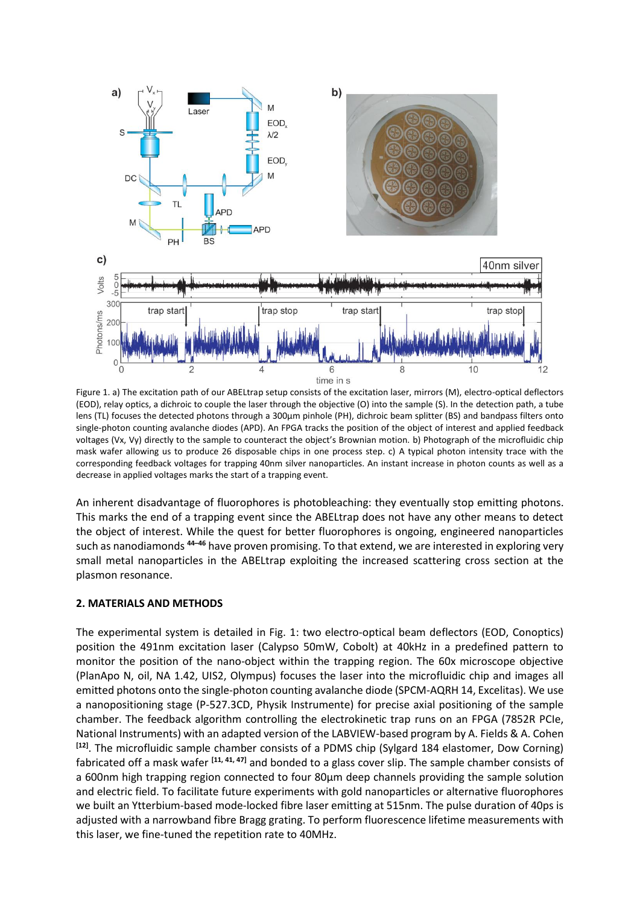

Figure 1. a) The excitation path of our ABELtrap setup consists of the excitation laser, mirrors (M), electro-optical deflectors (EOD), relay optics, a dichroic to couple the laser through the objective (O) into the sample (S). In the detection path, a tube lens (TL) focuses the detected photons through a 300μm pinhole (PH), dichroic beam splitter (BS) and bandpass filters onto single-photon counting avalanche diodes (APD). An FPGA tracks the position of the object of interest and applied feedback voltages (Vx, Vy) directly to the sample to counteract the object's Brownian motion. b) Photograph of the microfluidic chip mask wafer allowing us to produce 26 disposable chips in one process step. c) A typical photon intensity trace with the corresponding feedback voltages for trapping 40nm silver nanoparticles. An instant increase in photon counts as well as a decrease in applied voltages marks the start of a trapping event.

An inherent disadvantage of fluorophores is photobleaching: they eventually stop emitting photons. This marks the end of a trapping event since the ABELtrap does not have any other means to detect the object of interest. While the quest for better fluorophores is ongoing, engineered nanoparticles such as nanodiamonds **<sup>44</sup>–<sup>46</sup>** have proven promising. To that extend, we are interested in exploring very small metal nanoparticles in the ABELtrap exploiting the increased scattering cross section at the plasmon resonance.

#### **2. MATERIALS AND METHODS**

The experimental system is detailed in Fig. 1: two electro-optical beam deflectors (EOD, Conoptics) position the 491nm excitation laser (Calypso 50mW, Cobolt) at 40kHz in a predefined pattern to monitor the position of the nano-object within the trapping region. The 60x microscope objective (PlanApo N, oil, NA 1.42, UIS2, Olympus) focuses the laser into the microfluidic chip and images all emitted photons onto the single-photon counting avalanche diode (SPCM-AQRH 14, Excelitas). We use a nanopositioning stage (P-527.3CD, Physik Instrumente) for precise axial positioning of the sample chamber. The feedback algorithm controlling the electrokinetic trap runs on an FPGA (7852R PCIe, National Instruments) with an adapted version of the LABVIEW-based program by A. Fields & A. Cohen **[12]** . The microfluidic sample chamber consists of a PDMS chip (Sylgard 184 elastomer, Dow Corning) fabricated off a mask wafer **[11, 41, 47]** and bonded to a glass cover slip. The sample chamber consists of a 600nm high trapping region connected to four 80μm deep channels providing the sample solution and electric field. To facilitate future experiments with gold nanoparticles or alternative fluorophores we built an Ytterbium-based mode-locked fibre laser emitting at 515nm. The pulse duration of 40ps is adjusted with a narrowband fibre Bragg grating. To perform fluorescence lifetime measurements with this laser, we fine-tuned the repetition rate to 40MHz.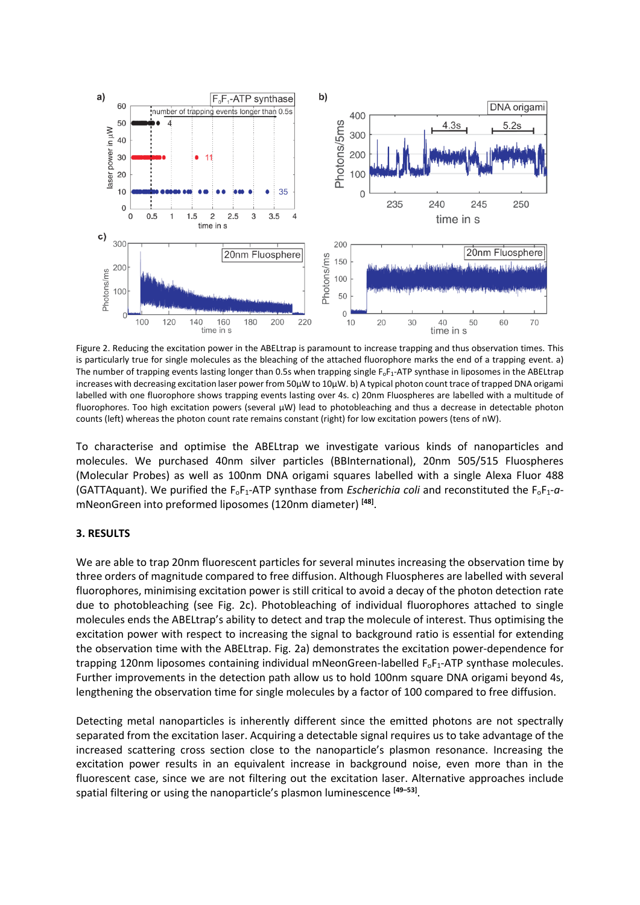

Figure 2. Reducing the excitation power in the ABELtrap is paramount to increase trapping and thus observation times. This is particularly true for single molecules as the bleaching of the attached fluorophore marks the end of a trapping event. a) The number of trapping events lasting longer than 0.5s when trapping single  $F_0F_1$ -ATP synthase in liposomes in the ABELtrap increases with decreasing excitation laser power from 50μW to 10μW. b) A typical photon count trace of trapped DNA origami labelled with one fluorophore shows trapping events lasting over 4s. c) 20nm Fluospheres are labelled with a multitude of fluorophores. Too high excitation powers (several µW) lead to photobleaching and thus a decrease in detectable photon counts (left) whereas the photon count rate remains constant (right) for low excitation powers (tens of nW).

To characterise and optimise the ABELtrap we investigate various kinds of nanoparticles and molecules. We purchased 40nm silver particles (BBInternational), 20nm 505/515 Fluospheres (Molecular Probes) as well as 100nm DNA origami squares labelled with a single Alexa Fluor 488 (GATTAquant). We purified the  $F_0F_1$ -ATP synthase from *Escherichia coli* and reconstituted the  $F_0F_1$ - $a$ mNeonGreen into preformed liposomes (120nm diameter) **[48]** .

#### **3. RESULTS**

We are able to trap 20nm fluorescent particles for several minutes increasing the observation time by three orders of magnitude compared to free diffusion. Although Fluospheres are labelled with several fluorophores, minimising excitation power is still critical to avoid a decay of the photon detection rate due to photobleaching (see Fig. 2c). Photobleaching of individual fluorophores attached to single molecules ends the ABELtrap's ability to detect and trap the molecule of interest. Thus optimising the excitation power with respect to increasing the signal to background ratio is essential for extending the observation time with the ABELtrap. Fig. 2a) demonstrates the excitation power-dependence for trapping 120nm liposomes containing individual mNeonGreen-labelled F<sub>oF1</sub>-ATP synthase molecules. Further improvements in the detection path allow us to hold 100nm square DNA origami beyond 4s, lengthening the observation time for single molecules by a factor of 100 compared to free diffusion.

Detecting metal nanoparticles is inherently different since the emitted photons are not spectrally separated from the excitation laser. Acquiring a detectable signal requires us to take advantage of the increased scattering cross section close to the nanoparticle's plasmon resonance. Increasing the excitation power results in an equivalent increase in background noise, even more than in the fluorescent case, since we are not filtering out the excitation laser. Alternative approaches include spatial filtering or using the nanoparticle's plasmon luminescence **[49–53]** .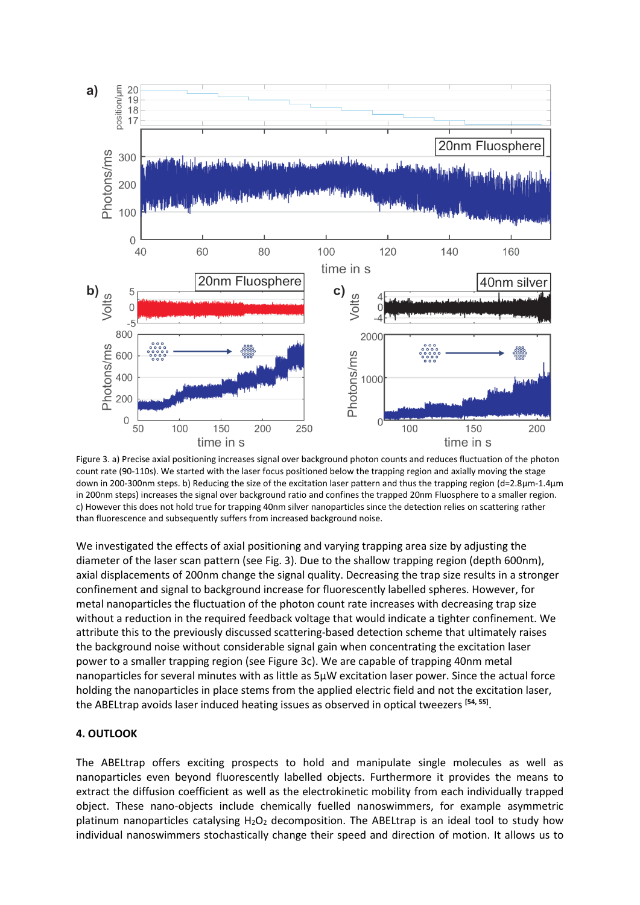

Figure 3. a) Precise axial positioning increases signal over background photon counts and reduces fluctuation of the photon count rate (90-110s). We started with the laser focus positioned below the trapping region and axially moving the stage down in 200-300nm steps. b) Reducing the size of the excitation laser pattern and thus the trapping region (d=2.8μm-1.4μm in 200nm steps) increases the signal over background ratio and confines the trapped 20nm Fluosphere to a smaller region. c) However this does not hold true for trapping 40nm silver nanoparticles since the detection relies on scattering rather than fluorescence and subsequently suffers from increased background noise.

We investigated the effects of axial positioning and varying trapping area size by adjusting the diameter of the laser scan pattern (see Fig. 3). Due to the shallow trapping region (depth 600nm), axial displacements of 200nm change the signal quality. Decreasing the trap size results in a stronger confinement and signal to background increase for fluorescently labelled spheres. However, for metal nanoparticles the fluctuation of the photon count rate increases with decreasing trap size without a reduction in the required feedback voltage that would indicate a tighter confinement. We attribute this to the previously discussed scattering-based detection scheme that ultimately raises the background noise without considerable signal gain when concentrating the excitation laser power to a smaller trapping region (see Figure 3c). We are capable of trapping 40nm metal nanoparticles for several minutes with as little as 5μW excitation laser power. Since the actual force holding the nanoparticles in place stems from the applied electric field and not the excitation laser, the ABELtrap avoids laser induced heating issues as observed in optical tweezers **[54, 55]** .

#### **4. OUTLOOK**

The ABELtrap offers exciting prospects to hold and manipulate single molecules as well as nanoparticles even beyond fluorescently labelled objects. Furthermore it provides the means to extract the diffusion coefficient as well as the electrokinetic mobility from each individually trapped object. These nano-objects include chemically fuelled nanoswimmers, for example asymmetric platinum nanoparticles catalysing  $H_2O_2$  decomposition. The ABELtrap is an ideal tool to study how individual nanoswimmers stochastically change their speed and direction of motion. It allows us to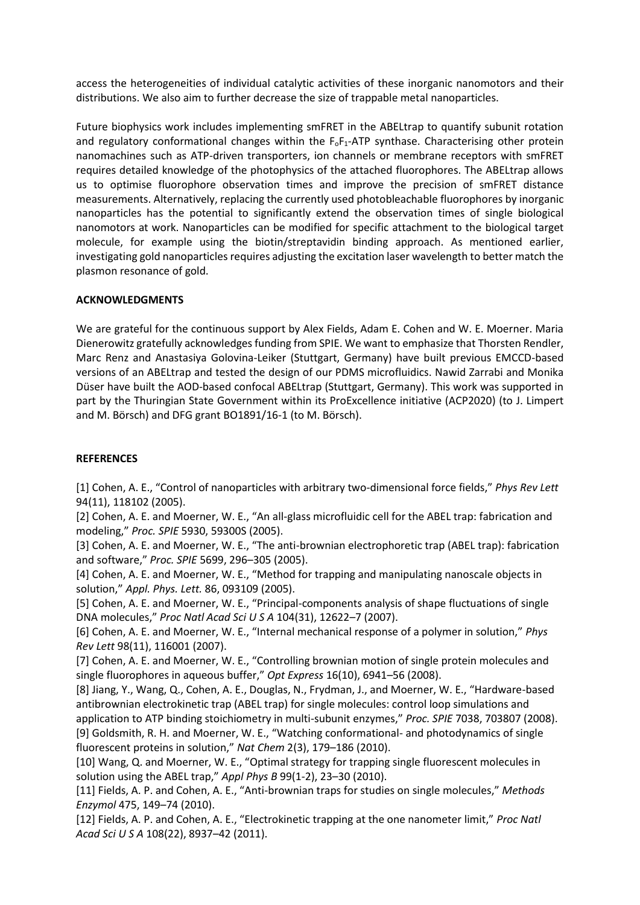access the heterogeneities of individual catalytic activities of these inorganic nanomotors and their distributions. We also aim to further decrease the size of trappable metal nanoparticles.

Future biophysics work includes implementing smFRET in the ABELtrap to quantify subunit rotation and regulatory conformational changes within the  $F_0F_1$ -ATP synthase. Characterising other protein nanomachines such as ATP-driven transporters, ion channels or membrane receptors with smFRET requires detailed knowledge of the photophysics of the attached fluorophores. The ABELtrap allows us to optimise fluorophore observation times and improve the precision of smFRET distance measurements. Alternatively, replacing the currently used photobleachable fluorophores by inorganic nanoparticles has the potential to significantly extend the observation times of single biological nanomotors at work. Nanoparticles can be modified for specific attachment to the biological target molecule, for example using the biotin/streptavidin binding approach. As mentioned earlier, investigating gold nanoparticles requires adjusting the excitation laser wavelength to better match the plasmon resonance of gold.

## **ACKNOWLEDGMENTS**

We are grateful for the continuous support by Alex Fields, Adam E. Cohen and W. E. Moerner. Maria Dienerowitz gratefully acknowledges funding from SPIE. We want to emphasize that Thorsten Rendler, Marc Renz and Anastasiya Golovina-Leiker (Stuttgart, Germany) have built previous EMCCD-based versions of an ABELtrap and tested the design of our PDMS microfluidics. Nawid Zarrabi and Monika Düser have built the AOD-based confocal ABELtrap (Stuttgart, Germany). This work was supported in part by the Thuringian State Government within its ProExcellence initiative (ACP2020) (to J. Limpert and M. Börsch) and DFG grant BO1891/16-1 (to M. Börsch).

#### **REFERENCES**

[1] Cohen, A. E., "Control of nanoparticles with arbitrary two-dimensional force fields," *Phys Rev Lett*  94(11), 118102 (2005).

[2] Cohen, A. E. and Moerner, W. E., "An all-glass microfluidic cell for the ABEL trap: fabrication and modeling," *Proc. SPIE* 5930, 59300S (2005).

[3] Cohen, A. E. and Moerner, W. E., "The anti-brownian electrophoretic trap (ABEL trap): fabrication and software," *Proc. SPIE* 5699, 296–305 (2005).

[4] Cohen, A. E. and Moerner, W. E., "Method for trapping and manipulating nanoscale objects in solution," *Appl. Phys. Lett.* 86, 093109 (2005).

[5] Cohen, A. E. and Moerner, W. E., "Principal-components analysis of shape fluctuations of single DNA molecules," *Proc Natl Acad Sci U S A* 104(31), 12622–7 (2007).

[6] Cohen, A. E. and Moerner, W. E., "Internal mechanical response of a polymer in solution," *Phys Rev Lett* 98(11), 116001 (2007).

[7] Cohen, A. E. and Moerner, W. E., "Controlling brownian motion of single protein molecules and single fluorophores in aqueous buffer," *Opt Express* 16(10), 6941–56 (2008).

[8] Jiang, Y., Wang, Q., Cohen, A. E., Douglas, N., Frydman, J., and Moerner, W. E., "Hardware-based antibrownian electrokinetic trap (ABEL trap) for single molecules: control loop simulations and application to ATP binding stoichiometry in multi-subunit enzymes," *Proc. SPIE* 7038, 703807 (2008). [9] Goldsmith, R. H. and Moerner, W. E., "Watching conformational- and photodynamics of single fluorescent proteins in solution," *Nat Chem* 2(3), 179–186 (2010).

[10] Wang, Q. and Moerner, W. E., "Optimal strategy for trapping single fluorescent molecules in solution using the ABEL trap," *Appl Phys B* 99(1-2), 23–30 (2010).

[11] Fields, A. P. and Cohen, A. E., "Anti-brownian traps for studies on single molecules," *Methods Enzymol* 475, 149–74 (2010).

[12] Fields, A. P. and Cohen, A. E., "Electrokinetic trapping at the one nanometer limit," *Proc Natl Acad Sci U S A* 108(22), 8937–42 (2011).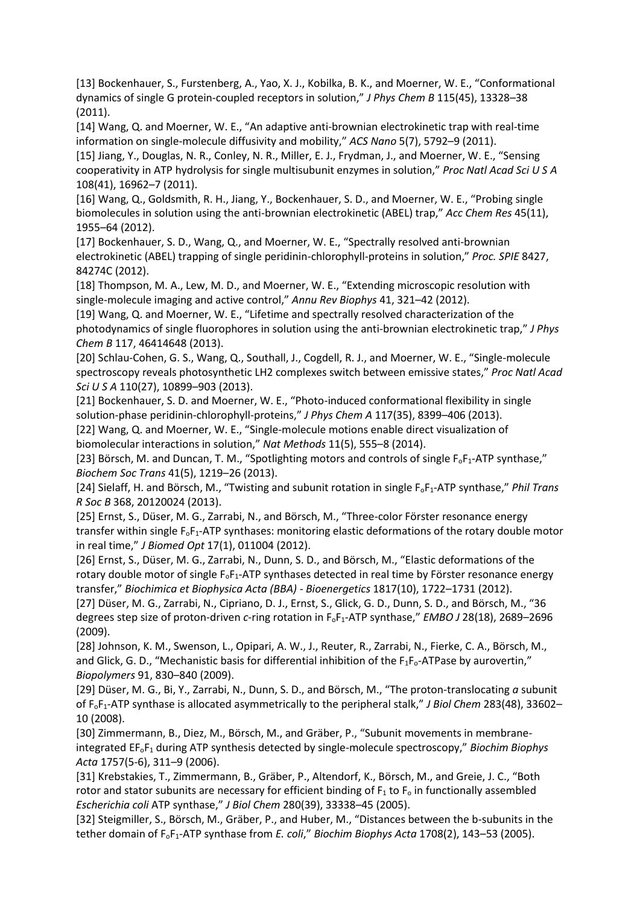[13] Bockenhauer, S., Furstenberg, A., Yao, X. J., Kobilka, B. K., and Moerner, W. E., "Conformational dynamics of single G protein-coupled receptors in solution," *J Phys Chem B* 115(45), 13328–38 (2011).

[14] Wang, Q. and Moerner, W. E., "An adaptive anti-brownian electrokinetic trap with real-time information on single-molecule diffusivity and mobility," *ACS Nano* 5(7), 5792–9 (2011).

[15] Jiang, Y., Douglas, N. R., Conley, N. R., Miller, E. J., Frydman, J., and Moerner, W. E., "Sensing cooperativity in ATP hydrolysis for single multisubunit enzymes in solution," *Proc Natl Acad Sci U S A*  108(41), 16962–7 (2011).

[16] Wang, Q., Goldsmith, R. H., Jiang, Y., Bockenhauer, S. D., and Moerner, W. E., "Probing single biomolecules in solution using the anti-brownian electrokinetic (ABEL) trap," *Acc Chem Res* 45(11), 1955–64 (2012).

[17] Bockenhauer, S. D., Wang, Q., and Moerner, W. E., "Spectrally resolved anti-brownian electrokinetic (ABEL) trapping of single peridinin-chlorophyll-proteins in solution," *Proc. SPIE* 8427, 84274C (2012).

[18] Thompson, M. A., Lew, M. D., and Moerner, W. E., "Extending microscopic resolution with single-molecule imaging and active control," *Annu Rev Biophys* 41, 321–42 (2012).

[19] Wang, Q. and Moerner, W. E., "Lifetime and spectrally resolved characterization of the photodynamics of single fluorophores in solution using the anti-brownian electrokinetic trap," *J Phys Chem B* 117, 46414648 (2013).

[20] Schlau-Cohen, G. S., Wang, Q., Southall, J., Cogdell, R. J., and Moerner, W. E., "Single-molecule spectroscopy reveals photosynthetic LH2 complexes switch between emissive states," *Proc Natl Acad Sci U S A* 110(27), 10899–903 (2013).

[21] Bockenhauer, S. D. and Moerner, W. E., "Photo-induced conformational flexibility in single solution-phase peridinin-chlorophyll-proteins," *J Phys Chem A* 117(35), 8399–406 (2013).

[22] Wang, Q. and Moerner, W. E., "Single-molecule motions enable direct visualization of biomolecular interactions in solution," *Nat Methods* 11(5), 555–8 (2014).

[23] Börsch, M. and Duncan, T. M., "Spotlighting motors and controls of single F<sub>o</sub>F<sub>1</sub>-ATP synthase," *Biochem Soc Trans* 41(5), 1219–26 (2013).

[24] Sielaff, H. and Börsch, M., "Twisting and subunit rotation in single F<sub>oF1</sub>-ATP synthase," *Phil Trans R Soc B* 368, 20120024 (2013).

[25] Ernst, S., Düser, M. G., Zarrabi, N., and Börsch, M., "Three-color Förster resonance energy transfer within single F<sub>oF1</sub>-ATP synthases: monitoring elastic deformations of the rotary double motor in real time," *J Biomed Opt* 17(1), 011004 (2012).

[26] Ernst, S., Düser, M. G., Zarrabi, N., Dunn, S. D., and Börsch, M., "Elastic deformations of the rotary double motor of single F<sub>o</sub>F<sub>1</sub>-ATP synthases detected in real time by Förster resonance energy transfer," *Biochimica et Biophysica Acta (BBA) - Bioenergetics* 1817(10), 1722–1731 (2012).

[27] Düser, M. G., Zarrabi, N., Cipriano, D. J., Ernst, S., Glick, G. D., Dunn, S. D., and Börsch, M., "36 degrees step size of proton-driven *c*-ring rotation in FoF1-ATP synthase," *EMBO J* 28(18), 2689–2696 (2009).

[28] Johnson, K. M., Swenson, L., Opipari, A. W., J., Reuter, R., Zarrabi, N., Fierke, C. A., Börsch, M., and Glick, G. D., "Mechanistic basis for differential inhibition of the  $F_1F_0$ -ATPase by aurovertin," *Biopolymers* 91, 830–840 (2009).

[29] Düser, M. G., Bi, Y., Zarrabi, N., Dunn, S. D., and Börsch, M., "The proton-translocating *a* subunit of FoF1-ATP synthase is allocated asymmetrically to the peripheral stalk," *J Biol Chem* 283(48), 33602– 10 (2008).

[30] Zimmermann, B., Diez, M., Börsch, M., and Gräber, P., "Subunit movements in membraneintegrated EFoF<sup>1</sup> during ATP synthesis detected by single-molecule spectroscopy," *Biochim Biophys Acta* 1757(5-6), 311–9 (2006).

[31] Krebstakies, T., Zimmermann, B., Gräber, P., Altendorf, K., Börsch, M., and Greie, J. C., "Both rotor and stator subunits are necessary for efficient binding of  $F_1$  to  $F_0$  in functionally assembled *Escherichia coli* ATP synthase," *J Biol Chem* 280(39), 33338–45 (2005).

[32] Steigmiller, S., Börsch, M., Gräber, P., and Huber, M., "Distances between the b-subunits in the tether domain of FoF1-ATP synthase from *E. coli*," *Biochim Biophys Acta* 1708(2), 143–53 (2005).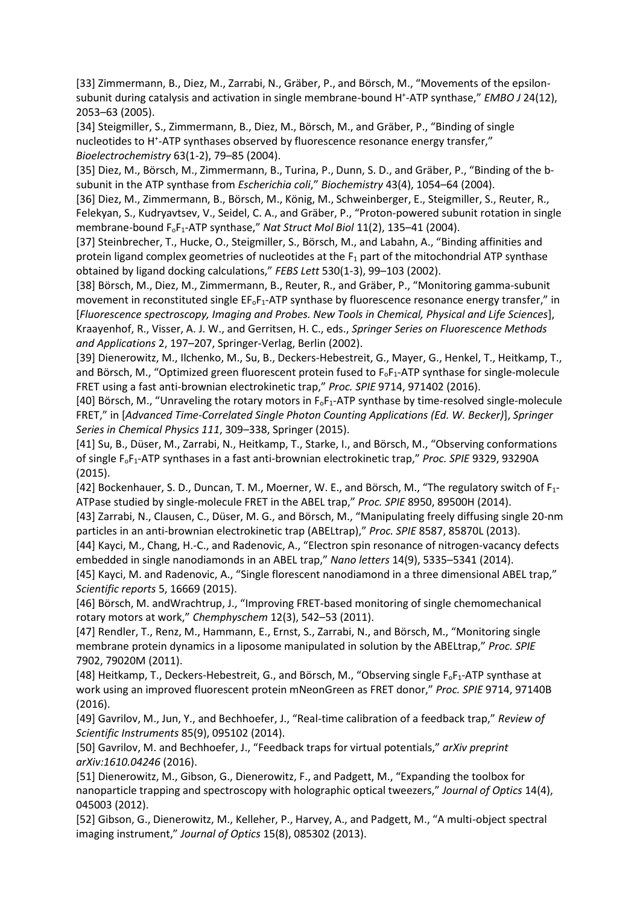[33] Zimmermann, B., Diez, M., Zarrabi, N., Gräber, P., and Börsch, M., "Movements of the epsilonsubunit during catalysis and activation in single membrane-bound H<sup>+</sup>-ATP synthase," EMBO J 24(12), 2053–63 (2005).

[34] Steigmiller, S., Zimmermann, B., Diez, M., Börsch, M., and Gräber, P., "Binding of single nucleotides to H<sup>+</sup>-ATP synthases observed by fluorescence resonance energy transfer," *Bioelectrochemistry* 63(1-2), 79–85 (2004).

[35] Diez, M., Börsch, M., Zimmermann, B., Turina, P., Dunn, S. D., and Gräber, P., "Binding of the bsubunit in the ATP synthase from *Escherichia coli*," *Biochemistry* 43(4), 1054–64 (2004).

[36] Diez, M., Zimmermann, B., Börsch, M., König, M., Schweinberger, E., Steigmiller, S., Reuter, R., Felekyan, S., Kudryavtsev, V., Seidel, C. A., and Gräber, P., "Proton-powered subunit rotation in single membrane-bound FoF1-ATP synthase," *Nat Struct Mol Biol* 11(2), 135–41 (2004).

[37] Steinbrecher, T., Hucke, O., Steigmiller, S., Börsch, M., and Labahn, A., "Binding affinities and protein ligand complex geometries of nucleotides at the  $F_1$  part of the mitochondrial ATP synthase obtained by ligand docking calculations," *FEBS Lett* 530(1-3), 99–103 (2002).

[38] Börsch, M., Diez, M., Zimmermann, B., Reuter, R., and Gräber, P., "Monitoring gamma-subunit movement in reconstituted single EF<sub>oF1</sub>-ATP synthase by fluorescence resonance energy transfer," in [*Fluorescence spectroscopy, Imaging and Probes. New Tools in Chemical, Physical and Life Sciences*], Kraayenhof, R., Visser, A. J. W., and Gerritsen, H. C., eds., *Springer Series on Fluorescence Methods and Applications* 2, 197–207, Springer-Verlag, Berlin (2002).

[39] Dienerowitz, M., Ilchenko, M., Su, B., Deckers-Hebestreit, G., Mayer, G., Henkel, T., Heitkamp, T., and Börsch, M., "Optimized green fluorescent protein fused to  $F_0F_1$ -ATP synthase for single-molecule FRET using a fast anti-brownian electrokinetic trap," *Proc. SPIE* 9714, 971402 (2016).

[40] Börsch, M., "Unraveling the rotary motors in  $F_0F_1$ -ATP synthase by time-resolved single-molecule FRET," in [*Advanced Time-Correlated Single Photon Counting Applications (Ed. W. Becker)*], *Springer Series in Chemical Physics 111*, 309–338, Springer (2015).

[41] Su, B., Düser, M., Zarrabi, N., Heitkamp, T., Starke, I., and Börsch, M., "Observing conformations of single FoF1-ATP synthases in a fast anti-brownian electrokinetic trap," *Proc. SPIE* 9329, 93290A (2015).

[42] Bockenhauer, S. D., Duncan, T. M., Moerner, W. E., and Börsch, M., "The regulatory switch of F1- ATPase studied by single-molecule FRET in the ABEL trap," *Proc. SPIE* 8950, 89500H (2014).

[43] Zarrabi, N., Clausen, C., Düser, M. G., and Börsch, M., "Manipulating freely diffusing single 20-nm particles in an anti-brownian electrokinetic trap (ABELtrap)," *Proc. SPIE* 8587, 85870L (2013).

[44] Kayci, M., Chang, H.-C., and Radenovic, A., "Electron spin resonance of nitrogen-vacancy defects embedded in single nanodiamonds in an ABEL trap," *Nano letters* 14(9), 5335–5341 (2014).

[45] Kayci, M. and Radenovic, A., "Single florescent nanodiamond in a three dimensional ABEL trap," *Scientific reports* 5, 16669 (2015).

[46] Börsch, M. andWrachtrup, J., "Improving FRET-based monitoring of single chemomechanical rotary motors at work," *Chemphyschem* 12(3), 542–53 (2011).

[47] Rendler, T., Renz, M., Hammann, E., Ernst, S., Zarrabi, N., and Börsch, M., "Monitoring single membrane protein dynamics in a liposome manipulated in solution by the ABELtrap," *Proc. SPIE*  7902, 79020M (2011).

[48] Heitkamp, T., Deckers-Hebestreit, G., and Börsch, M., "Observing single F<sub>o</sub>F<sub>1</sub>-ATP synthase at work using an improved fluorescent protein mNeonGreen as FRET donor," *Proc. SPIE* 9714, 97140B (2016).

[49] Gavrilov, M., Jun, Y., and Bechhoefer, J., "Real-time calibration of a feedback trap," *Review of Scientific Instruments* 85(9), 095102 (2014).

[50] Gavrilov, M. and Bechhoefer, J., "Feedback traps for virtual potentials," *arXiv preprint arXiv:1610.04246* (2016).

[51] Dienerowitz, M., Gibson, G., Dienerowitz, F., and Padgett, M., "Expanding the toolbox for nanoparticle trapping and spectroscopy with holographic optical tweezers," *Journal of Optics* 14(4), 045003 (2012).

[52] Gibson, G., Dienerowitz, M., Kelleher, P., Harvey, A., and Padgett, M., "A multi-object spectral imaging instrument," *Journal of Optics* 15(8), 085302 (2013).